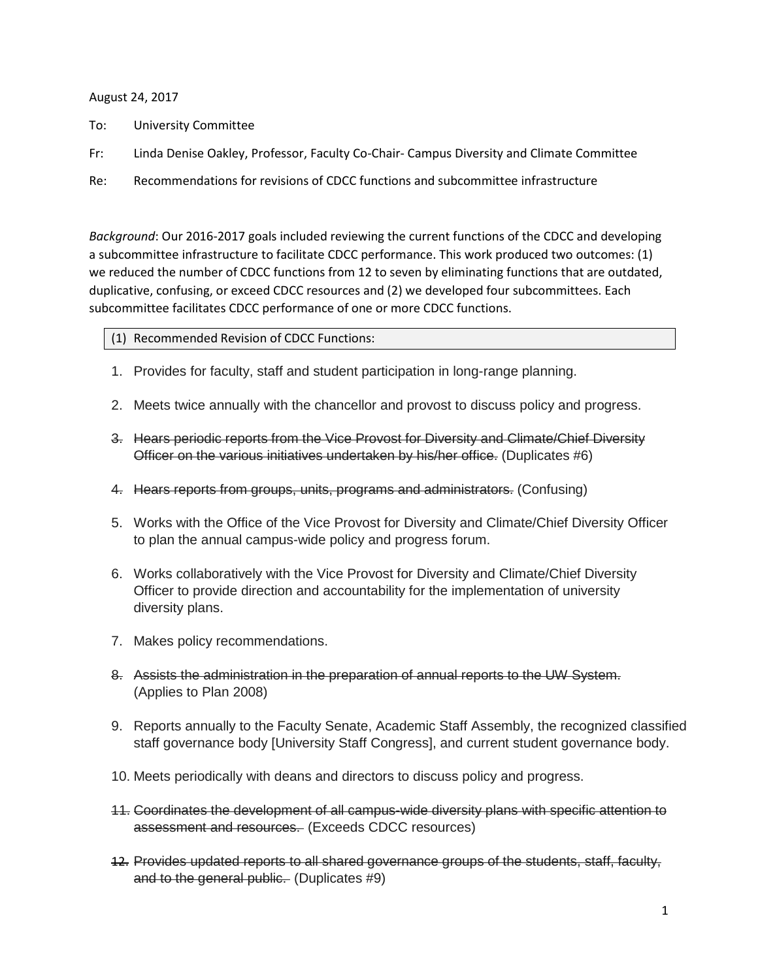### August 24, 2017

- To: University Committee
- Fr: Linda Denise Oakley, Professor, Faculty Co-Chair- Campus Diversity and Climate Committee
- Re: Recommendations for revisions of CDCC functions and subcommittee infrastructure

*Background*: Our 2016-2017 goals included reviewing the current functions of the CDCC and developing a subcommittee infrastructure to facilitate CDCC performance. This work produced two outcomes: (1) we reduced the number of CDCC functions from 12 to seven by eliminating functions that are outdated, duplicative, confusing, or exceed CDCC resources and (2) we developed four subcommittees. Each subcommittee facilitates CDCC performance of one or more CDCC functions.

- (1) Recommended Revision of CDCC Functions:
- 1. Provides for faculty, staff and student participation in long-range planning.
- 2. Meets twice annually with the chancellor and provost to discuss policy and progress.
- 3. Hears periodic reports from the Vice Provost for Diversity and Climate/Chief Diversity Officer on the various initiatives undertaken by his/her office. (Duplicates #6)
- 4. Hears reports from groups, units, programs and administrators. (Confusing)
- 5. Works with the Office of the Vice Provost for Diversity and Climate/Chief Diversity Officer to plan the annual campus-wide policy and progress forum.
- 6. Works collaboratively with the Vice Provost for Diversity and Climate/Chief Diversity Officer to provide direction and accountability for the implementation of university diversity plans.
- 7. Makes policy recommendations.
- 8. Assists the administration in the preparation of annual reports to the UW System. (Applies to Plan 2008)
- 9. Reports annually to the Faculty Senate, Academic Staff Assembly, the recognized classified staff governance body [University Staff Congress], and current student governance body.
- 10. Meets periodically with deans and directors to discuss policy and progress.
- 11. Coordinates the development of all campus-wide diversity plans with specific attention to assessment and resources. (Exceeds CDCC resources)
- 12. Provides updated reports to all shared governance groups of the students, staff, faculty, and to the general public. (Duplicates #9)